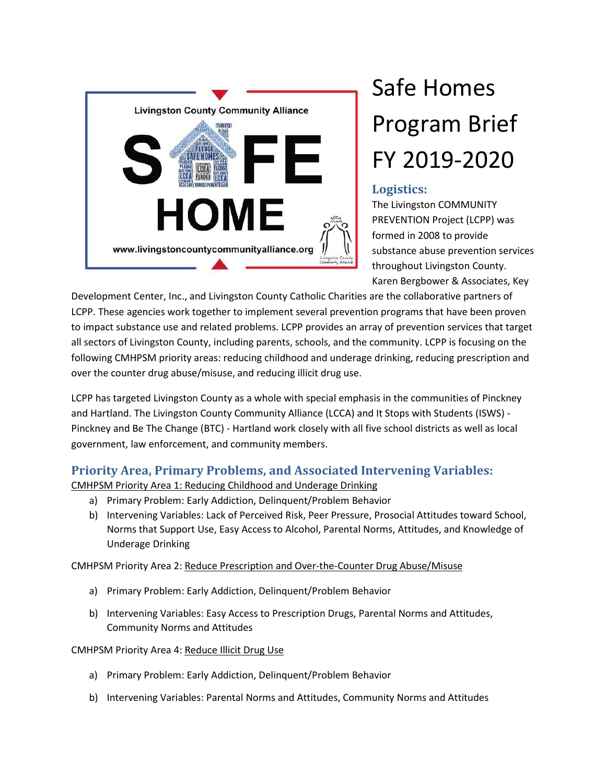

## Safe Homes Program Brief FY 2019-2020

## **Logistics:**

The Livingston COMMUNITY PREVENTION Project (LCPP) was formed in 2008 to provide substance abuse prevention services throughout Livingston County. Karen Bergbower & Associates, Key

Development Center, Inc., and Livingston County Catholic Charities are the collaborative partners of LCPP. These agencies work together to implement several prevention programs that have been proven to impact substance use and related problems. LCPP provides an array of prevention services that target all sectors of Livingston County, including parents, schools, and the community. LCPP is focusing on the following CMHPSM priority areas: reducing childhood and underage drinking, reducing prescription and over the counter drug abuse/misuse, and reducing illicit drug use.

LCPP has targeted Livingston County as a whole with special emphasis in the communities of Pinckney and Hartland. The Livingston County Community Alliance (LCCA) and It Stops with Students (ISWS) - Pinckney and Be The Change (BTC) - Hartland work closely with all five school districts as well as local government, law enforcement, and community members.

## **Priority Area, Primary Problems, and Associated Intervening Variables:**

CMHPSM Priority Area 1: Reducing Childhood and Underage Drinking

- a) Primary Problem: Early Addiction, Delinquent/Problem Behavior
- b) Intervening Variables: Lack of Perceived Risk, Peer Pressure, Prosocial Attitudes toward School, Norms that Support Use, Easy Access to Alcohol, Parental Norms, Attitudes, and Knowledge of Underage Drinking

CMHPSM Priority Area 2: Reduce Prescription and Over-the-Counter Drug Abuse/Misuse

- a) Primary Problem: Early Addiction, Delinquent/Problem Behavior
- b) Intervening Variables: Easy Access to Prescription Drugs, Parental Norms and Attitudes, Community Norms and Attitudes

CMHPSM Priority Area 4: Reduce Illicit Drug Use

- a) Primary Problem: Early Addiction, Delinquent/Problem Behavior
- b) Intervening Variables: Parental Norms and Attitudes, Community Norms and Attitudes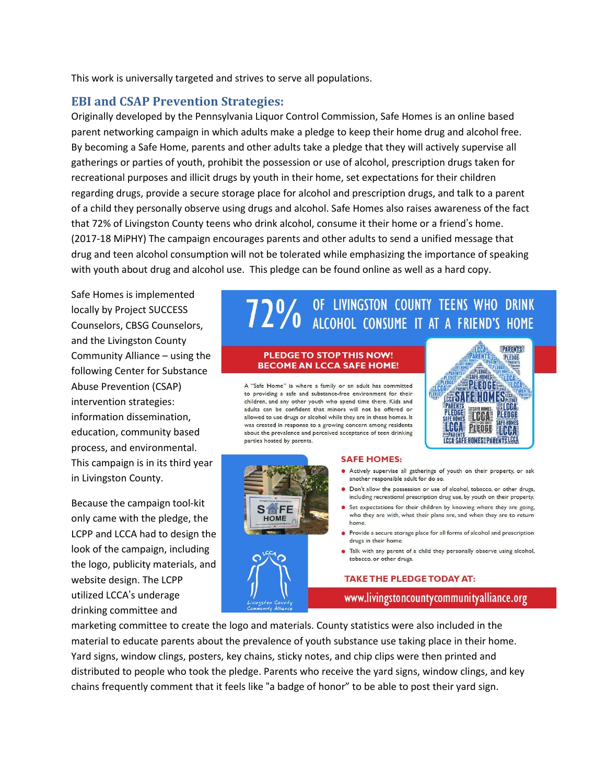This work is universally targeted and strives to serve all populations.

### **EBI and CSAP Prevention Strategies:**

Originally developed by the Pennsylvania Liquor Control Commission, Safe Homes is an online based parent networking campaign in which adults make a pledge to keep their home drug and alcohol free. By becoming a Safe Home, parents and other adults take a pledge that they will actively supervise all gatherings or parties of youth, prohibit the possession or use of alcohol, prescription drugs taken for recreational purposes and illicit drugs by youth in their home, set expectations for their children regarding drugs, provide a secure storage place for alcohol and prescription drugs, and talk to a parent of a child they personally observe using drugs and alcohol. Safe Homes also raises awareness of the fact that 72% of Livingston County teens who drink alcohol, consume it their home or a friend's home. (2017-18 MiPHY) The campaign encourages parents and other adults to send a unified message that drug and teen alcohol consumption will not be tolerated while emphasizing the importance of speaking with youth about drug and alcohol use. This pledge can be found online as well as a hard copy.

Safe Homes is implemented locally by Project SUCCESS Counselors, CBSG Counselors, and the Livingston County Community Alliance – using the following Center for Substance Abuse Prevention (CSAP) intervention strategies: information dissemination, education, community based process, and environmental. This campaign is in its third year in Livingston County.

Because the campaign tool-kit only came with the pledge, the LCPP and LCCA had to design the look of the campaign, including the logo, publicity materials, and website design. The LCPP utilized LCCA's underage drinking committee and

# 72% OF LIVINGSTON COUNTY TEENS WHO DRINK

### PLEDGE TO STOP THIS NOW! **BECOME AN LCCA SAFE HOME!**

A "Safe Home" is where a family or an adult has committed to providing a safe and substance-free environment for their children, and any other youth who spend time there. Kids and adults can be confident that minors will not be offered or allowed to use drugs or alcohol while they are in these homes. It was created in response to a growing concern among residents about the prevalence and perceived acceptance of teen drinking parties hosted by parents.





#### **SAFE HOMES:**

- Actively supervise all gatherings of youth on their property, or ask another responsible adult for do so.
- · Don't allow the possession or use of alcohol, tobacco, or other drugs, including recreational prescription drug use, by youth on their property.
- Set expectations for their children by knowing where they are going, who they are with, what their plans are, and when they are to return home.
- Provide a secure storage place for all forms of alcohol and prescription drugs in their home.
- · Talk with any parent of a child they personally observe using alcohol, tobacco, or other drugs.

### **TAKE THE PLEDGE TODAY AT:**

www.livingstoncountycommunityalliance.org

marketing committee to create the logo and materials. County statistics were also included in the material to educate parents about the prevalence of youth substance use taking place in their home. Yard signs, window clings, posters, key chains, sticky notes, and chip clips were then printed and distributed to people who took the pledge. Parents who receive the yard signs, window clings, and key chains frequently comment that it feels like "a badge of honor" to be able to post their yard sign.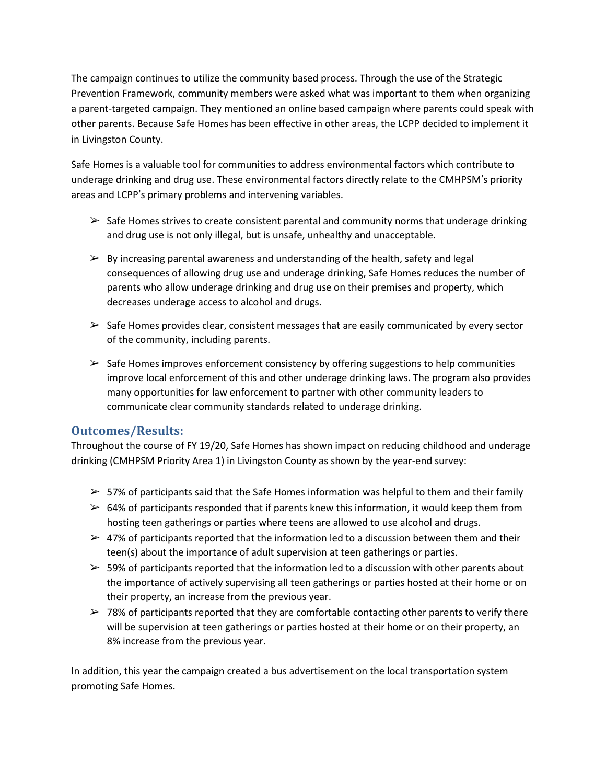The campaign continues to utilize the community based process. Through the use of the Strategic Prevention Framework, community members were asked what was important to them when organizing a parent-targeted campaign. They mentioned an online based campaign where parents could speak with other parents. Because Safe Homes has been effective in other areas, the LCPP decided to implement it in Livingston County.

Safe Homes is a valuable tool for communities to address environmental factors which contribute to underage drinking and drug use. These environmental factors directly relate to the CMHPSM's priority areas and LCPP's primary problems and intervening variables.

- $\triangleright$  Safe Homes strives to create consistent parental and community norms that underage drinking and drug use is not only illegal, but is unsafe, unhealthy and unacceptable.
- $\triangleright$  By increasing parental awareness and understanding of the health, safety and legal consequences of allowing drug use and underage drinking, Safe Homes reduces the number of parents who allow underage drinking and drug use on their premises and property, which decreases underage access to alcohol and drugs.
- $\triangleright$  Safe Homes provides clear, consistent messages that are easily communicated by every sector of the community, including parents.
- $\triangleright$  Safe Homes improves enforcement consistency by offering suggestions to help communities improve local enforcement of this and other underage drinking laws. The program also provides many opportunities for law enforcement to partner with other community leaders to communicate clear community standards related to underage drinking.

## **Outcomes/Results:**

Throughout the course of FY 19/20, Safe Homes has shown impact on reducing childhood and underage drinking (CMHPSM Priority Area 1) in Livingston County as shown by the year-end survey:

- $\geq$  57% of participants said that the Safe Homes information was helpful to them and their family
- $\geq$  64% of participants responded that if parents knew this information, it would keep them from hosting teen gatherings or parties where teens are allowed to use alcohol and drugs.
- $\geq$  47% of participants reported that the information led to a discussion between them and their teen(s) about the importance of adult supervision at teen gatherings or parties.
- $\geq$  59% of participants reported that the information led to a discussion with other parents about the importance of actively supervising all teen gatherings or parties hosted at their home or on their property, an increase from the previous year.
- $>$  78% of participants reported that they are comfortable contacting other parents to verify there will be supervision at teen gatherings or parties hosted at their home or on their property, an 8% increase from the previous year.

In addition, this year the campaign created a bus advertisement on the local transportation system promoting Safe Homes.